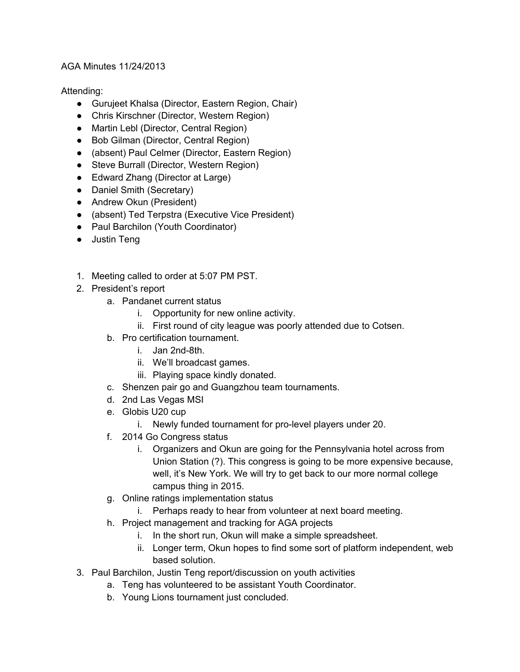## AGA Minutes 11/24/2013

## Attending:

- Gurujeet Khalsa (Director, Eastern Region, Chair)
- Chris Kirschner (Director, Western Region)
- Martin Lebl (Director, Central Region)
- Bob Gilman (Director, Central Region)
- (absent) Paul Celmer (Director, Eastern Region)
- Steve Burrall (Director, Western Region)
- Edward Zhang (Director at Large)
- Daniel Smith (Secretary)
- Andrew Okun (President)
- (absent) Ted Terpstra (Executive Vice President)
- Paul Barchilon (Youth Coordinator)
- Justin Teng
- 1. Meeting called to order at 5:07 PM PST.
- 2. President's report
	- a. Pandanet current status
		- i. Opportunity for new online activity.
		- ii. First round of city league was poorly attended due to Cotsen.
	- b. Pro certification tournament.
		- i. Jan 2nd-8th.
		- ii. We'll broadcast games.
		- iii. Playing space kindly donated.
	- c. Shenzen pair go and Guangzhou team tournaments.
	- d. 2nd Las Vegas MSI
	- e. Globis U20 cup
		- i. Newly funded tournament for pro-level players under 20.
	- f. 2014 Go Congress status
		- i. Organizers and Okun are going for the Pennsylvania hotel across from Union Station (?). This congress is going to be more expensive because, well, it's New York. We will try to get back to our more normal college campus thing in 2015.
	- g. Online ratings implementation status
		- i. Perhaps ready to hear from volunteer at next board meeting.
	- h. Project management and tracking for AGA projects
		- i. In the short run, Okun will make a simple spreadsheet.
		- ii. Longer term, Okun hopes to find some sort of platform independent, web based solution.
- 3. Paul Barchilon, Justin Teng report/discussion on youth activities
	- a. Teng has volunteered to be assistant Youth Coordinator.
		- b. Young Lions tournament just concluded.